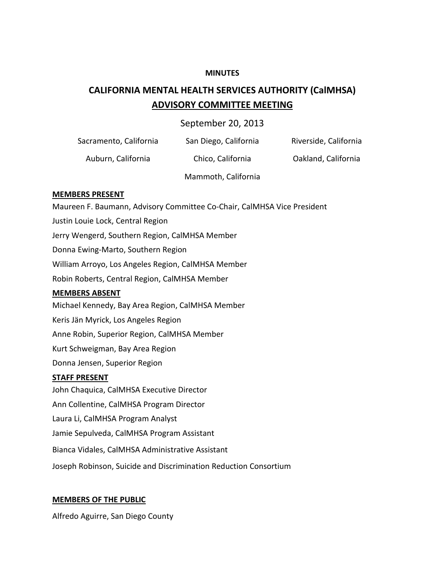#### **MINUTES**

## **CALIFORNIA MENTAL HEALTH SERVICES AUTHORITY (CalMHSA) ADVISORY COMMITTEE MEETING**

## September 20, 2013

| Sacramento, California | San Diego, California | Riverside, California |
|------------------------|-----------------------|-----------------------|
|                        |                       |                       |

Auburn, California Chico, California Oakland, California

Mammoth, California

## **MEMBERS PRESENT**

Maureen F. Baumann, Advisory Committee Co-Chair, CalMHSA Vice President Justin Louie Lock, Central Region Jerry Wengerd, Southern Region, CalMHSA Member Donna Ewing-Marto, Southern Region William Arroyo, Los Angeles Region, CalMHSA Member Robin Roberts, Central Region, CalMHSA Member **MEMBERS ABSENT** Michael Kennedy, Bay Area Region, CalMHSA Member Keris Jän Myrick, Los Angeles Region Anne Robin, Superior Region, CalMHSA Member Kurt Schweigman, Bay Area Region Donna Jensen, Superior Region **STAFF PRESENT** John Chaquica, CalMHSA Executive Director Ann Collentine, CalMHSA Program Director Laura Li, CalMHSA Program Analyst Jamie Sepulveda, CalMHSA Program Assistant Bianca Vidales, CalMHSA Administrative Assistant

Joseph Robinson, Suicide and Discrimination Reduction Consortium

## **MEMBERS OF THE PUBLIC**

Alfredo Aguirre, San Diego County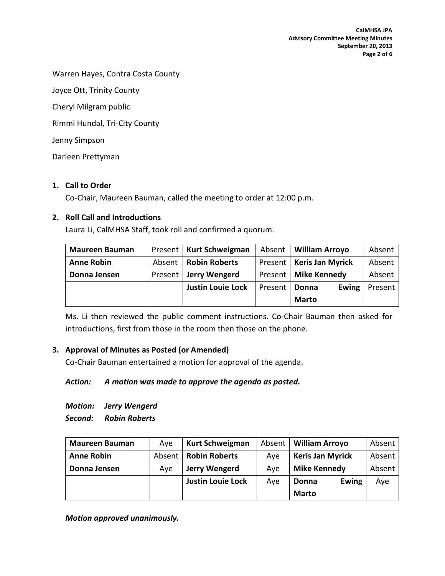Warren Hayes, Contra Costa County

Joyce Ott, Trinity County

Cheryl Milgram public

Rimmi Hundal, Tri-City County

Jenny Simpson

Darleen Prettyman

#### **1. Call to Order**

Co-Chair, Maureen Bauman, called the meeting to order at 12:00 p.m.

#### **2. Roll Call and Introductions**

Laura Li, CalMHSA Staff, took roll and confirmed a quorum.

| <b>Maureen Bauman</b> |         | Present   Kurt Schweigman | Absent  | <b>William Arroyo</b>   | Absent  |
|-----------------------|---------|---------------------------|---------|-------------------------|---------|
| <b>Anne Robin</b>     | Absent  | <b>Robin Roberts</b>      | Present | <b>Keris Jan Myrick</b> | Absent  |
| Donna Jensen          | Present | Jerry Wengerd             | Present | <b>Mike Kennedy</b>     | Absent  |
|                       |         | <b>Justin Louie Lock</b>  | Present | <b>Ewing</b><br>Donna   | Present |
|                       |         |                           |         | <b>Marto</b>            |         |

Ms. Li then reviewed the public comment instructions. Co-Chair Bauman then asked for introductions, first from those in the room then those on the phone.

## **3. Approval of Minutes as Posted (or Amended)**

Co-Chair Bauman entertained a motion for approval of the agenda.

## *Action: A motion was made to approve the agenda as posted.*

*Motion: Jerry Wengerd*

*Second: Robin Roberts*

| <b>Maureen Bauman</b> | Ave    | <b>Kurt Schweigman</b>   | Absent | <b>William Arroyo</b>   | Absent |
|-----------------------|--------|--------------------------|--------|-------------------------|--------|
| <b>Anne Robin</b>     | Absent | <b>Robin Roberts</b>     | Ave    | <b>Keris Jan Myrick</b> | Absent |
| Donna Jensen          | Ave    | Jerry Wengerd            | Ave    | <b>Mike Kennedy</b>     | Absent |
|                       |        | <b>Justin Louie Lock</b> | Aye    | <b>Ewing</b><br>Donna   | Aye    |
|                       |        |                          |        | <b>Marto</b>            |        |

*Motion approved unanimously.*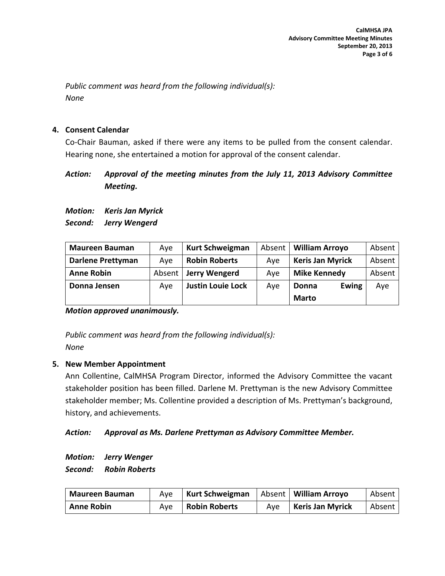*Public comment was heard from the following individual(s): None*

## **4. Consent Calendar**

Co-Chair Bauman, asked if there were any items to be pulled from the consent calendar. Hearing none, she entertained a motion for approval of the consent calendar.

## *Action: Approval of the meeting minutes from the July 11, 2013 Advisory Committee Meeting.*

*Motion: Keris Jan Myrick Second: Jerry Wengerd*

| <b>Maureen Bauman</b>    | Ave    | <b>Kurt Schweigman</b>   | Absent | <b>William Arroyo</b>   | Absent |
|--------------------------|--------|--------------------------|--------|-------------------------|--------|
| <b>Darlene Prettyman</b> | Ave    | <b>Robin Roberts</b>     | Ave    | <b>Keris Jan Myrick</b> | Absent |
| <b>Anne Robin</b>        | Absent | Jerry Wengerd            | Ave    | <b>Mike Kennedy</b>     | Absent |
| Donna Jensen             | Aye    | <b>Justin Louie Lock</b> | Aye    | <b>Ewing</b><br>Donna   | Aye    |
|                          |        |                          |        | <b>Marto</b>            |        |

*Motion approved unanimously.*

*Public comment was heard from the following individual(s): None*

## **5. New Member Appointment**

Ann Collentine, CalMHSA Program Director, informed the Advisory Committee the vacant stakeholder position has been filled. Darlene M. Prettyman is the new Advisory Committee stakeholder member; Ms. Collentine provided a description of Ms. Prettyman's background, history, and achievements.

## *Action: Approval as Ms. Darlene Prettyman as Advisory Committee Member.*

*Motion: Jerry Wenger Second: Robin Roberts*

| <b>Maureen Bauman</b> | Ave | Kurt Schweigman      |     | Absent   William Arroyo | Absent |
|-----------------------|-----|----------------------|-----|-------------------------|--------|
| <b>Anne Robin</b>     | Ave | <b>Robin Roberts</b> | Ave | <b>Keris Jan Myrick</b> | Absent |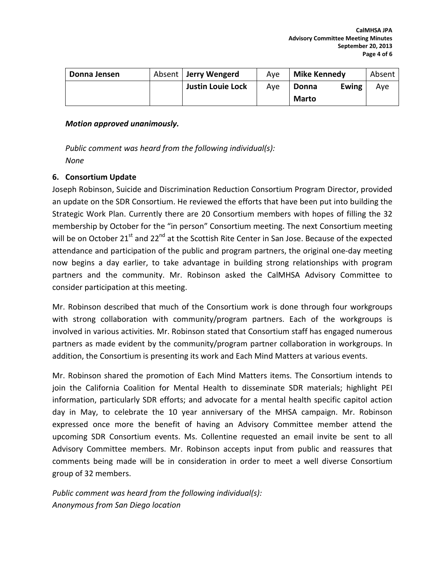| Donna Jensen | Absent   Jerry Wengerd   | Ave | <b>Mike Kennedy</b>   | Absent |
|--------------|--------------------------|-----|-----------------------|--------|
|              | <b>Justin Louie Lock</b> | Ave | <b>Ewing</b><br>Donna | Aye    |
|              |                          |     | <b>Marto</b>          |        |

#### *Motion approved unanimously.*

*Public comment was heard from the following individual(s): None*

## **6. Consortium Update**

Joseph Robinson, Suicide and Discrimination Reduction Consortium Program Director, provided an update on the SDR Consortium. He reviewed the efforts that have been put into building the Strategic Work Plan. Currently there are 20 Consortium members with hopes of filling the 32 membership by October for the "in person" Consortium meeting. The next Consortium meeting will be on October 21<sup>st</sup> and 22<sup>nd</sup> at the Scottish Rite Center in San Jose. Because of the expected attendance and participation of the public and program partners, the original one-day meeting now begins a day earlier, to take advantage in building strong relationships with program partners and the community. Mr. Robinson asked the CalMHSA Advisory Committee to consider participation at this meeting.

Mr. Robinson described that much of the Consortium work is done through four workgroups with strong collaboration with community/program partners. Each of the workgroups is involved in various activities. Mr. Robinson stated that Consortium staff has engaged numerous partners as made evident by the community/program partner collaboration in workgroups. In addition, the Consortium is presenting its work and Each Mind Matters at various events.

Mr. Robinson shared the promotion of Each Mind Matters items. The Consortium intends to join the California Coalition for Mental Health to disseminate SDR materials; highlight PEI information, particularly SDR efforts; and advocate for a mental health specific capitol action day in May, to celebrate the 10 year anniversary of the MHSA campaign. Mr. Robinson expressed once more the benefit of having an Advisory Committee member attend the upcoming SDR Consortium events. Ms. Collentine requested an email invite be sent to all Advisory Committee members. Mr. Robinson accepts input from public and reassures that comments being made will be in consideration in order to meet a well diverse Consortium group of 32 members.

*Public comment was heard from the following individual(s): Anonymous from San Diego location*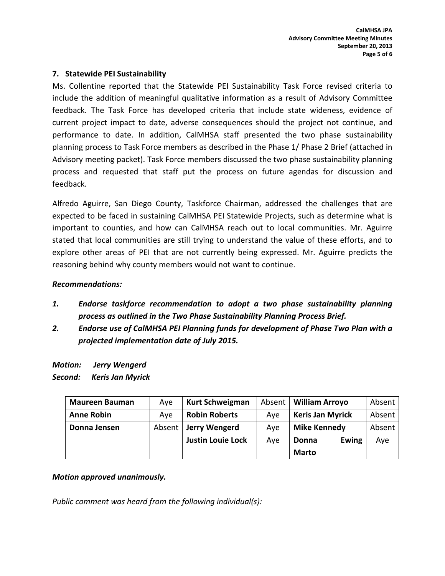## **7. Statewide PEI Sustainability**

Ms. Collentine reported that the Statewide PEI Sustainability Task Force revised criteria to include the addition of meaningful qualitative information as a result of Advisory Committee feedback. The Task Force has developed criteria that include state wideness, evidence of current project impact to date, adverse consequences should the project not continue, and performance to date. In addition, CalMHSA staff presented the two phase sustainability planning process to Task Force members as described in the Phase 1/ Phase 2 Brief (attached in Advisory meeting packet). Task Force members discussed the two phase sustainability planning process and requested that staff put the process on future agendas for discussion and feedback.

Alfredo Aguirre, San Diego County, Taskforce Chairman, addressed the challenges that are expected to be faced in sustaining CalMHSA PEI Statewide Projects, such as determine what is important to counties, and how can CalMHSA reach out to local communities. Mr. Aguirre stated that local communities are still trying to understand the value of these efforts, and to explore other areas of PEI that are not currently being expressed. Mr. Aguirre predicts the reasoning behind why county members would not want to continue.

## *Recommendations:*

- *1. Endorse taskforce recommendation to adopt a two phase sustainability planning process as outlined in the Two Phase Sustainability Planning Process Brief.*
- *2. Endorse use of CalMHSA PEI Planning funds for development of Phase Two Plan with a projected implementation date of July 2015.*

*Motion: Jerry Wengerd Second: Keris Jan Myrick*

| <b>Maureen Bauman</b> | Ave    | <b>Kurt Schweigman</b>   | Absent | <b>William Arroyo</b>   | Absent |
|-----------------------|--------|--------------------------|--------|-------------------------|--------|
| <b>Anne Robin</b>     | Ave    | <b>Robin Roberts</b>     | Ave    | <b>Keris Jan Myrick</b> | Absent |
| Donna Jensen          | Absent | Jerry Wengerd            | Ave    | <b>Mike Kennedy</b>     | Absent |
|                       |        | <b>Justin Louie Lock</b> | Aye    | <b>Ewing</b><br>Donna   | Aye    |
|                       |        |                          |        | <b>Marto</b>            |        |

## *Motion approved unanimously.*

*Public comment was heard from the following individual(s):*